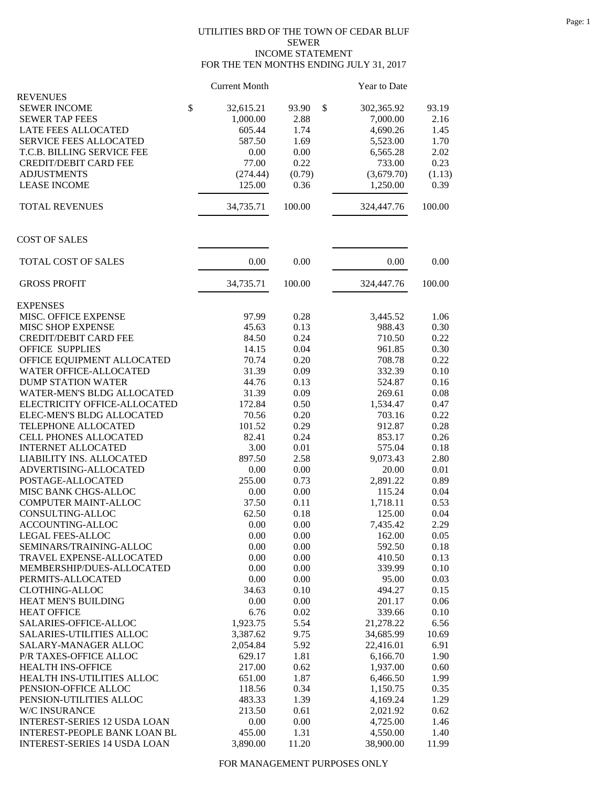## UTILITIES BRD OF THE TOWN OF CEDAR BLUF SEWER INCOME STATEMENT FOR THE TEN MONTHS ENDING JULY 31, 2017

|                                     | <b>Current Month</b> |             | Year to Date |        |
|-------------------------------------|----------------------|-------------|--------------|--------|
| <b>REVENUES</b>                     |                      |             |              |        |
| \$<br><b>SEWER INCOME</b>           | 32,615.21            | \$<br>93.90 | 302,365.92   | 93.19  |
| <b>SEWER TAP FEES</b>               | 1,000.00             | 2.88        | 7,000.00     | 2.16   |
| LATE FEES ALLOCATED                 | 605.44               | 1.74        | 4,690.26     | 1.45   |
| <b>SERVICE FEES ALLOCATED</b>       | 587.50               | 1.69        | 5,523.00     | 1.70   |
| T.C.B. BILLING SERVICE FEE          | 0.00                 | 0.00        | 6,565.28     | 2.02   |
| <b>CREDIT/DEBIT CARD FEE</b>        | 77.00                | 0.22        | 733.00       | 0.23   |
| <b>ADJUSTMENTS</b>                  | (274.44)             | (0.79)      | (3,679.70)   | (1.13) |
| <b>LEASE INCOME</b>                 | 125.00               | 0.36        | 1,250.00     | 0.39   |
| <b>TOTAL REVENUES</b>               | 34,735.71            | 100.00      | 324,447.76   | 100.00 |
| <b>COST OF SALES</b>                |                      |             |              |        |
|                                     |                      |             |              |        |
| TOTAL COST OF SALES                 | 0.00                 | 0.00        | 0.00         | 0.00   |
| <b>GROSS PROFIT</b>                 | 34,735.71            | 100.00      | 324,447.76   | 100.00 |
| <b>EXPENSES</b>                     |                      |             |              |        |
| MISC. OFFICE EXPENSE                | 97.99                | 0.28        | 3,445.52     | 1.06   |
| MISC SHOP EXPENSE                   | 45.63                | 0.13        | 988.43       | 0.30   |
| <b>CREDIT/DEBIT CARD FEE</b>        | 84.50                | 0.24        | 710.50       | 0.22   |
| <b>OFFICE SUPPLIES</b>              | 14.15                | 0.04        | 961.85       | 0.30   |
| OFFICE EQUIPMENT ALLOCATED          | 70.74                | 0.20        | 708.78       | 0.22   |
| WATER OFFICE-ALLOCATED              | 31.39                | 0.09        | 332.39       | 0.10   |
| <b>DUMP STATION WATER</b>           | 44.76                | 0.13        | 524.87       | 0.16   |
| <b>WATER-MEN'S BLDG ALLOCATED</b>   | 31.39                | 0.09        | 269.61       | 0.08   |
| ELECTRICITY OFFICE-ALLOCATED        | 172.84               | 0.50        | 1,534.47     | 0.47   |
| ELEC-MEN'S BLDG ALLOCATED           | 70.56                | 0.20        | 703.16       | 0.22   |
| TELEPHONE ALLOCATED                 | 101.52               | 0.29        | 912.87       | 0.28   |
| CELL PHONES ALLOCATED               | 82.41                | 0.24        | 853.17       | 0.26   |
| <b>INTERNET ALLOCATED</b>           | 3.00                 | 0.01        | 575.04       | 0.18   |
| LIABILITY INS. ALLOCATED            | 897.50               | 2.58        | 9,073.43     | 2.80   |
| ADVERTISING-ALLOCATED               | 0.00                 | 0.00        | 20.00        | 0.01   |
| POSTAGE-ALLOCATED                   | 255.00               | 0.73        | 2,891.22     | 0.89   |
| MISC BANK CHGS-ALLOC                | 0.00                 | 0.00        | 115.24       | 0.04   |
| COMPUTER MAINT-ALLOC                | 37.50                | 0.11        | 1,718.11     | 0.53   |
| CONSULTING-ALLOC                    | 62.50                | 0.18        | 125.00       | 0.04   |
| ACCOUNTING-ALLOC                    | 0.00                 | 0.00        | 7,435.42     | 2.29   |
| LEGAL FEES-ALLOC                    | 0.00                 | 0.00        | 162.00       | 0.05   |
| SEMINARS/TRAINING-ALLOC             | 0.00                 | 0.00        | 592.50       | 0.18   |
| TRAVEL EXPENSE-ALLOCATED            | 0.00                 | 0.00        | 410.50       | 0.13   |
| MEMBERSHIP/DUES-ALLOCATED           | 0.00                 | 0.00        | 339.99       | 0.10   |
| PERMITS-ALLOCATED                   | 0.00                 | 0.00        | 95.00        | 0.03   |
| <b>CLOTHING-ALLOC</b>               | 34.63                | 0.10        | 494.27       | 0.15   |
| HEAT MEN'S BUILDING                 | 0.00                 | 0.00        | 201.17       | 0.06   |
| <b>HEAT OFFICE</b>                  | 6.76                 | 0.02        | 339.66       | 0.10   |
| SALARIES-OFFICE-ALLOC               |                      | 5.54        |              | 6.56   |
|                                     | 1,923.75             |             | 21,278.22    |        |
| SALARIES-UTILITIES ALLOC            | 3,387.62             | 9.75        | 34,685.99    | 10.69  |
| SALARY-MANAGER ALLOC                | 2,054.84             | 5.92        | 22,416.01    | 6.91   |
| P/R TAXES-OFFICE ALLOC              | 629.17               | 1.81        | 6,166.70     | 1.90   |
| <b>HEALTH INS-OFFICE</b>            | 217.00               | 0.62        | 1,937.00     | 0.60   |
| HEALTH INS-UTILITIES ALLOC          | 651.00               | 1.87        | 6,466.50     | 1.99   |
| PENSION-OFFICE ALLOC                | 118.56               | 0.34        | 1,150.75     | 0.35   |
| PENSION-UTILITIES ALLOC             | 483.33               | 1.39        | 4,169.24     | 1.29   |
| W/C INSURANCE                       | 213.50               | 0.61        | 2,021.92     | 0.62   |
| <b>INTEREST-SERIES 12 USDA LOAN</b> | 0.00                 | 0.00        | 4,725.00     | 1.46   |
| <b>INTEREST-PEOPLE BANK LOAN BL</b> | 455.00               | 1.31        | 4,550.00     | 1.40   |
| <b>INTEREST-SERIES 14 USDA LOAN</b> | 3,890.00             | 11.20       | 38,900.00    | 11.99  |